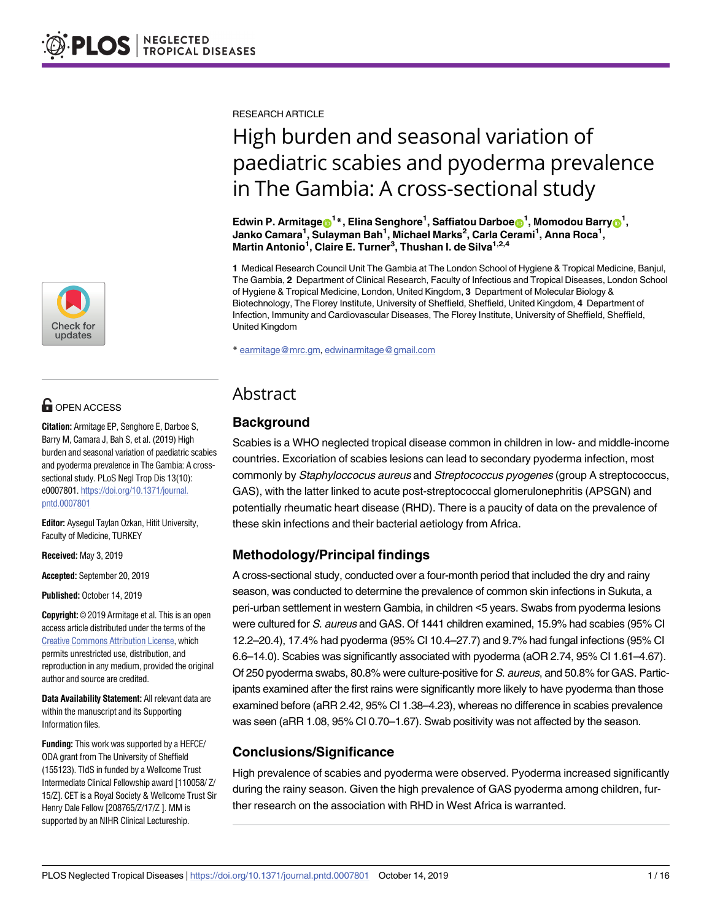

# **G** OPEN ACCESS

**Citation:** Armitage EP, Senghore E, Darboe S, Barry M, Camara J, Bah S, et al. (2019) High burden and seasonal variation of paediatric scabies and pyoderma prevalence in The Gambia: A crosssectional study. PLoS Negl Trop Dis 13(10): e0007801. [https://doi.org/10.1371/journal.](https://doi.org/10.1371/journal.pntd.0007801) [pntd.0007801](https://doi.org/10.1371/journal.pntd.0007801)

**Editor:** Aysegul Taylan Ozkan, Hitit University, Faculty of Medicine, TURKEY

**Received:** May 3, 2019

**Accepted:** September 20, 2019

**Published:** October 14, 2019

**Copyright:** © 2019 Armitage et al. This is an open access article distributed under the terms of the Creative Commons [Attribution](http://creativecommons.org/licenses/by/4.0/) License, which permits unrestricted use, distribution, and reproduction in any medium, provided the original author and source are credited.

**Data Availability Statement:** All relevant data are within the manuscript and its Supporting Information files.

**Funding:** This work was supported by a HEFCE/ ODA grant from The University of Sheffield (155123). TIdS in funded by a Wellcome Trust Intermediate Clinical Fellowship award [110058/ Z/ 15/Z]. CET is a Royal Society & Wellcome Trust Sir Henry Dale Fellow [208765/Z/17/Z ]. MM is supported by an NIHR Clinical Lectureship.

RESEARCH ARTICLE

# High burden and seasonal variation of paediatric scabies and pyoderma prevalence in The Gambia: A cross-sectional study

 ${\bf E}$ dwin P. Armitage $\boldsymbol{\Theta}^1*$ , Elina Senghore<sup>1</sup>, Saffiatou Darboe $\boldsymbol{\Theta}^1$ , Momodou Barry $\boldsymbol{\Theta}^1$ , **Janko Camara1 , Sulayman Bah1 , Michael Marks2 , Carla Cerami1 , Anna Roca1 , Martin Antonio1 , Claire E. Turner3 , Thushan I. de Silva1,2,4**

**1** Medical Research Council Unit The Gambia at The London School of Hygiene & Tropical Medicine, Banjul, The Gambia, **2** Department of Clinical Research, Faculty of Infectious and Tropical Diseases, London School of Hygiene & Tropical Medicine, London, United Kingdom, **3** Department of Molecular Biology & Biotechnology, The Florey Institute, University of Sheffield, Sheffield, United Kingdom, **4** Department of Infection, Immunity and Cardiovascular Diseases, The Florey Institute, University of Sheffield, Sheffield, United Kingdom

\* earmitage@mrc.gm, edwinarmitage@gmail.com

# Abstract

# **Background**

Scabies is a WHO neglected tropical disease common in children in low- and middle-income countries. Excoriation of scabies lesions can lead to secondary pyoderma infection, most commonly by Staphyloccocus aureus and Streptococcus pyogenes (group A streptococcus, GAS), with the latter linked to acute post-streptococcal glomerulonephritis (APSGN) and potentially rheumatic heart disease (RHD). There is a paucity of data on the prevalence of these skin infections and their bacterial aetiology from Africa.

# **Methodology/Principal findings**

A cross-sectional study, conducted over a four-month period that included the dry and rainy season, was conducted to determine the prevalence of common skin infections in Sukuta, a peri-urban settlement in western Gambia, in children <5 years. Swabs from pyoderma lesions were cultured for S. aureus and GAS. Of 1441 children examined, 15.9% had scabies (95% CI 12.2–20.4), 17.4% had pyoderma (95% CI 10.4–27.7) and 9.7% had fungal infections (95% CI 6.6–14.0). Scabies was significantly associated with pyoderma (aOR 2.74, 95% CI 1.61–4.67). Of 250 pyoderma swabs, 80.8% were culture-positive for S. aureus, and 50.8% for GAS. Participants examined after the first rains were significantly more likely to have pyoderma than those examined before (aRR 2.42, 95% CI 1.38–4.23), whereas no difference in scabies prevalence was seen (aRR 1.08, 95% CI 0.70–1.67). Swab positivity was not affected by the season.

# **Conclusions/Significance**

High prevalence of scabies and pyoderma were observed. Pyoderma increased significantly during the rainy season. Given the high prevalence of GAS pyoderma among children, further research on the association with RHD in West Africa is warranted.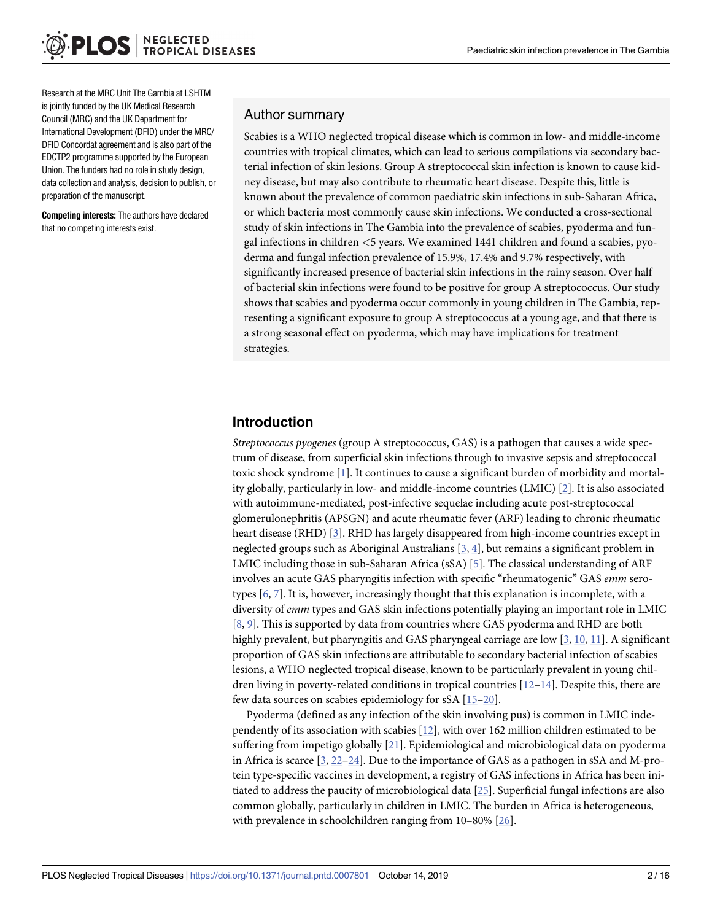<span id="page-1-0"></span>Research at the MRC Unit The Gambia at LSHTM is jointly funded by the UK Medical Research Council (MRC) and the UK Department for International Development (DFID) under the MRC/ DFID Concordat agreement and is also part of the EDCTP2 programme supported by the European Union. The funders had no role in study design, data collection and analysis, decision to publish, or preparation of the manuscript.

**Competing interests:** The authors have declared that no competing interests exist.

#### Author summary

Scabies is a WHO neglected tropical disease which is common in low- and middle-income countries with tropical climates, which can lead to serious compilations via secondary bacterial infection of skin lesions. Group A streptococcal skin infection is known to cause kidney disease, but may also contribute to rheumatic heart disease. Despite this, little is known about the prevalence of common paediatric skin infections in sub-Saharan Africa, or which bacteria most commonly cause skin infections. We conducted a cross-sectional study of skin infections in The Gambia into the prevalence of scabies, pyoderma and fungal infections in children *<*5 years. We examined 1441 children and found a scabies, pyoderma and fungal infection prevalence of 15.9%, 17.4% and 9.7% respectively, with significantly increased presence of bacterial skin infections in the rainy season. Over half of bacterial skin infections were found to be positive for group A streptococcus. Our study shows that scabies and pyoderma occur commonly in young children in The Gambia, representing a significant exposure to group A streptococcus at a young age, and that there is a strong seasonal effect on pyoderma, which may have implications for treatment strategies.

#### **Introduction**

*Streptococcus pyogenes* (group A streptococcus, GAS) is a pathogen that causes a wide spectrum of disease, from superficial skin infections through to invasive sepsis and streptococcal toxic shock syndrome [[1\]](#page-12-0). It continues to cause a significant burden of morbidity and mortality globally, particularly in low- and middle-income countries (LMIC) [[2](#page-13-0)]. It is also associated with autoimmune-mediated, post-infective sequelae including acute post-streptococcal glomerulonephritis (APSGN) and acute rheumatic fever (ARF) leading to chronic rheumatic heart disease (RHD) [[3](#page-13-0)]. RHD has largely disappeared from high-income countries except in neglected groups such as Aboriginal Australians [[3](#page-13-0), [4\]](#page-13-0), but remains a significant problem in LMIC including those in sub-Saharan Africa (sSA) [\[5\]](#page-13-0). The classical understanding of ARF involves an acute GAS pharyngitis infection with specific "rheumatogenic" GAS *emm* serotypes [\[6,](#page-13-0) [7](#page-13-0)]. It is, however, increasingly thought that this explanation is incomplete, with a diversity of *emm* types and GAS skin infections potentially playing an important role in LMIC [\[8](#page-13-0), [9](#page-13-0)]. This is supported by data from countries where GAS pyoderma and RHD are both highly prevalent, but pharyngitis and GAS pharyngeal carriage are low [[3](#page-13-0), [10](#page-13-0), [11](#page-13-0)]. A significant proportion of GAS skin infections are attributable to secondary bacterial infection of scabies lesions, a WHO neglected tropical disease, known to be particularly prevalent in young children living in poverty-related conditions in tropical countries  $[12-14]$ . Despite this, there are few data sources on scabies epidemiology for sSA [\[15–](#page-13-0)[20](#page-14-0)].

Pyoderma (defined as any infection of the skin involving pus) is common in LMIC independently of its association with scabies [\[12\]](#page-13-0), with over 162 million children estimated to be suffering from impetigo globally [\[21\]](#page-14-0). Epidemiological and microbiological data on pyoderma in Africa is scarce [[3](#page-13-0), [22](#page-14-0)–[24](#page-14-0)]. Due to the importance of GAS as a pathogen in sSA and M-protein type-specific vaccines in development, a registry of GAS infections in Africa has been initiated to address the paucity of microbiological data [[25](#page-14-0)]. Superficial fungal infections are also common globally, particularly in children in LMIC. The burden in Africa is heterogeneous, with prevalence in schoolchildren ranging from 10–80% [\[26\]](#page-14-0).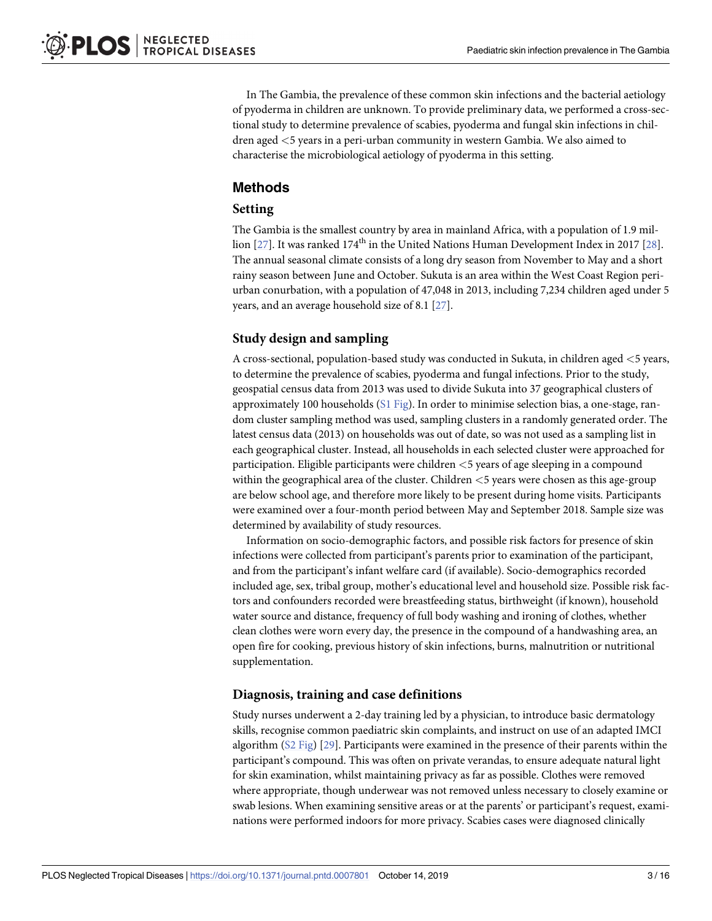<span id="page-2-0"></span>In The Gambia, the prevalence of these common skin infections and the bacterial aetiology of pyoderma in children are unknown. To provide preliminary data, we performed a cross-sectional study to determine prevalence of scabies, pyoderma and fungal skin infections in children aged *<*5 years in a peri-urban community in western Gambia. We also aimed to characterise the microbiological aetiology of pyoderma in this setting.

#### **Methods**

#### **Setting**

The Gambia is the smallest country by area in mainland Africa, with a population of 1.9 million  $[27]$ . It was ranked  $174<sup>th</sup>$  in the United Nations Human Development Index in 2017 [[28](#page-14-0)]. The annual seasonal climate consists of a long dry season from November to May and a short rainy season between June and October. Sukuta is an area within the West Coast Region periurban conurbation, with a population of 47,048 in 2013, including 7,234 children aged under 5 years, and an average household size of 8.1 [[27](#page-14-0)].

#### **Study design and sampling**

A cross-sectional, population-based study was conducted in Sukuta, in children aged *<*5 years, to determine the prevalence of scabies, pyoderma and fungal infections. Prior to the study, geospatial census data from 2013 was used to divide Sukuta into 37 geographical clusters of approximately 100 households (S1 [Fig](#page-11-0)). In order to minimise selection bias, a one-stage, random cluster sampling method was used, sampling clusters in a randomly generated order. The latest census data (2013) on households was out of date, so was not used as a sampling list in each geographical cluster. Instead, all households in each selected cluster were approached for participation. Eligible participants were children *<*5 years of age sleeping in a compound within the geographical area of the cluster. Children *<*5 years were chosen as this age-group are below school age, and therefore more likely to be present during home visits. Participants were examined over a four-month period between May and September 2018. Sample size was determined by availability of study resources.

Information on socio-demographic factors, and possible risk factors for presence of skin infections were collected from participant's parents prior to examination of the participant, and from the participant's infant welfare card (if available). Socio-demographics recorded included age, sex, tribal group, mother's educational level and household size. Possible risk factors and confounders recorded were breastfeeding status, birthweight (if known), household water source and distance, frequency of full body washing and ironing of clothes, whether clean clothes were worn every day, the presence in the compound of a handwashing area, an open fire for cooking, previous history of skin infections, burns, malnutrition or nutritional supplementation.

#### **Diagnosis, training and case definitions**

Study nurses underwent a 2-day training led by a physician, to introduce basic dermatology skills, recognise common paediatric skin complaints, and instruct on use of an adapted IMCI algorithm (S2 [Fig](#page-11-0)) [\[29\]](#page-14-0). Participants were examined in the presence of their parents within the participant's compound. This was often on private verandas, to ensure adequate natural light for skin examination, whilst maintaining privacy as far as possible. Clothes were removed where appropriate, though underwear was not removed unless necessary to closely examine or swab lesions. When examining sensitive areas or at the parents' or participant's request, examinations were performed indoors for more privacy. Scabies cases were diagnosed clinically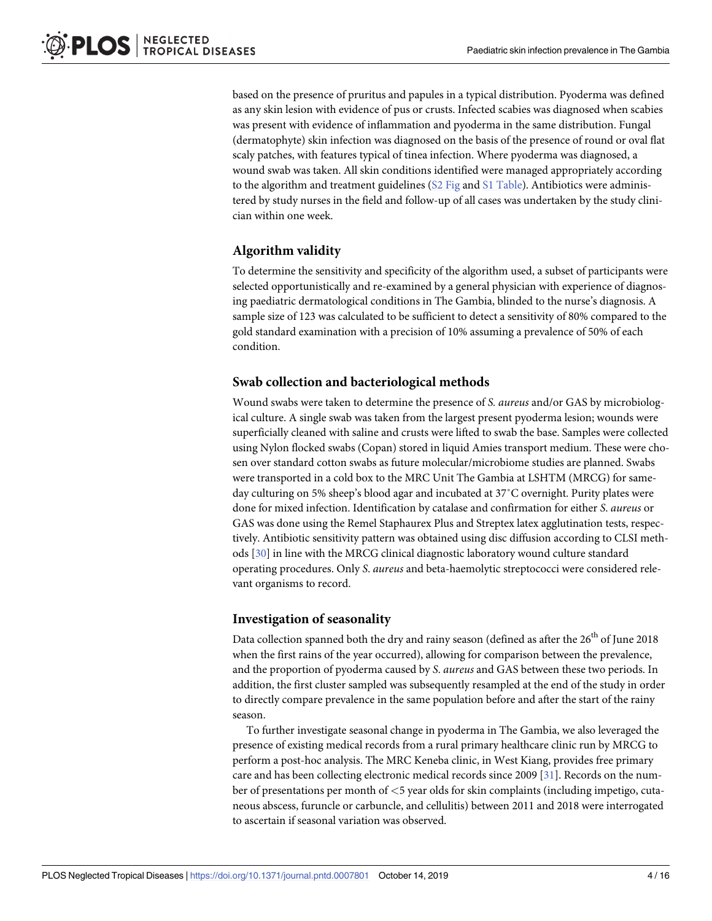<span id="page-3-0"></span>based on the presence of pruritus and papules in a typical distribution. Pyoderma was defined as any skin lesion with evidence of pus or crusts. Infected scabies was diagnosed when scabies was present with evidence of inflammation and pyoderma in the same distribution. Fungal (dermatophyte) skin infection was diagnosed on the basis of the presence of round or oval flat scaly patches, with features typical of tinea infection. Where pyoderma was diagnosed, a wound swab was taken. All skin conditions identified were managed appropriately according to the algorithm and treatment guidelines  $(S2$  [Fig](#page-11-0) and  $S1$  [Table](#page-11-0)). Antibiotics were administered by study nurses in the field and follow-up of all cases was undertaken by the study clinician within one week.

#### **Algorithm validity**

To determine the sensitivity and specificity of the algorithm used, a subset of participants were selected opportunistically and re-examined by a general physician with experience of diagnosing paediatric dermatological conditions in The Gambia, blinded to the nurse's diagnosis. A sample size of 123 was calculated to be sufficient to detect a sensitivity of 80% compared to the gold standard examination with a precision of 10% assuming a prevalence of 50% of each condition.

#### **Swab collection and bacteriological methods**

Wound swabs were taken to determine the presence of *S. aureus* and/or GAS by microbiological culture. A single swab was taken from the largest present pyoderma lesion; wounds were superficially cleaned with saline and crusts were lifted to swab the base. Samples were collected using Nylon flocked swabs (Copan) stored in liquid Amies transport medium. These were chosen over standard cotton swabs as future molecular/microbiome studies are planned. Swabs were transported in a cold box to the MRC Unit The Gambia at LSHTM (MRCG) for sameday culturing on 5% sheep's blood agar and incubated at 37˚C overnight. Purity plates were done for mixed infection. Identification by catalase and confirmation for either *S*. *aureus* or GAS was done using the Remel Staphaurex Plus and Streptex latex agglutination tests, respectively. Antibiotic sensitivity pattern was obtained using disc diffusion according to CLSI methods [[30](#page-14-0)] in line with the MRCG clinical diagnostic laboratory wound culture standard operating procedures. Only *S*. *aureus* and beta-haemolytic streptococci were considered relevant organisms to record.

#### **Investigation of seasonality**

Data collection spanned both the dry and rainy season (defined as after the  $26<sup>th</sup>$  of June 2018 when the first rains of the year occurred), allowing for comparison between the prevalence, and the proportion of pyoderma caused by *S*. *aureus* and GAS between these two periods. In addition, the first cluster sampled was subsequently resampled at the end of the study in order to directly compare prevalence in the same population before and after the start of the rainy season.

To further investigate seasonal change in pyoderma in The Gambia, we also leveraged the presence of existing medical records from a rural primary healthcare clinic run by MRCG to perform a post-hoc analysis. The MRC Keneba clinic, in West Kiang, provides free primary care and has been collecting electronic medical records since 2009 [[31](#page-14-0)]. Records on the number of presentations per month of *<*5 year olds for skin complaints (including impetigo, cutaneous abscess, furuncle or carbuncle, and cellulitis) between 2011 and 2018 were interrogated to ascertain if seasonal variation was observed.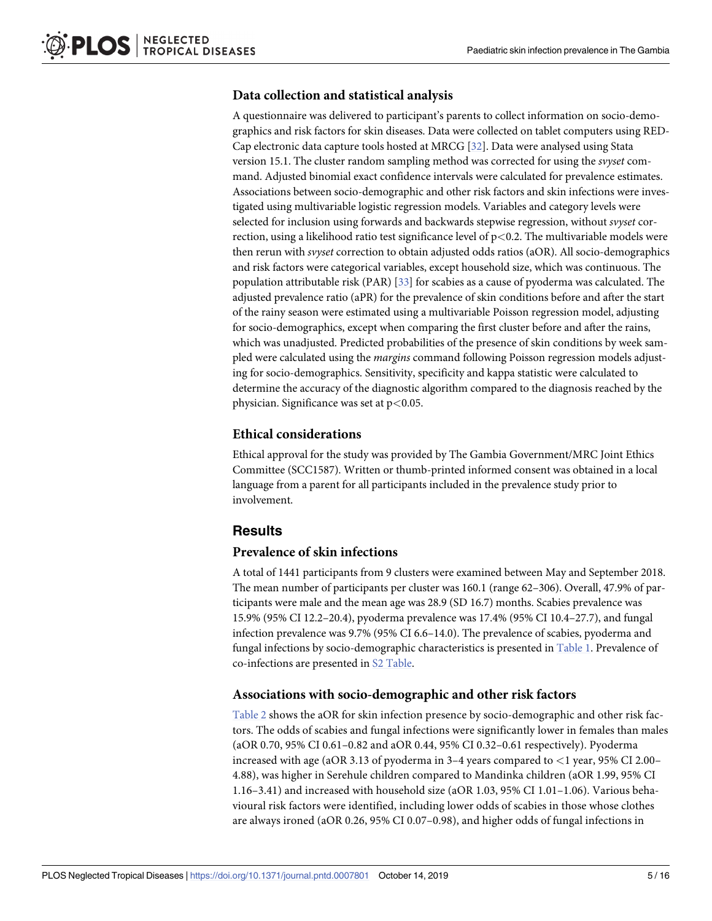#### <span id="page-4-0"></span>**Data collection and statistical analysis**

A questionnaire was delivered to participant's parents to collect information on socio-demographics and risk factors for skin diseases. Data were collected on tablet computers using RED-Cap electronic data capture tools hosted at MRCG [\[32\]](#page-14-0). Data were analysed using Stata version 15.1. The cluster random sampling method was corrected for using the *svyset* command. Adjusted binomial exact confidence intervals were calculated for prevalence estimates. Associations between socio-demographic and other risk factors and skin infections were investigated using multivariable logistic regression models. Variables and category levels were selected for inclusion using forwards and backwards stepwise regression, without *svyset* correction, using a likelihood ratio test significance level of p*<*0.2. The multivariable models were then rerun with *svyset* correction to obtain adjusted odds ratios (aOR). All socio-demographics and risk factors were categorical variables, except household size, which was continuous. The population attributable risk (PAR) [\[33\]](#page-14-0) for scabies as a cause of pyoderma was calculated. The adjusted prevalence ratio (aPR) for the prevalence of skin conditions before and after the start of the rainy season were estimated using a multivariable Poisson regression model, adjusting for socio-demographics, except when comparing the first cluster before and after the rains, which was unadjusted. Predicted probabilities of the presence of skin conditions by week sampled were calculated using the *margins* command following Poisson regression models adjusting for socio-demographics. Sensitivity, specificity and kappa statistic were calculated to determine the accuracy of the diagnostic algorithm compared to the diagnosis reached by the physician. Significance was set at p*<*0.05.

#### **Ethical considerations**

Ethical approval for the study was provided by The Gambia Government/MRC Joint Ethics Committee (SCC1587). Written or thumb-printed informed consent was obtained in a local language from a parent for all participants included in the prevalence study prior to involvement.

#### **Results**

#### **Prevalence of skin infections**

A total of 1441 participants from 9 clusters were examined between May and September 2018. The mean number of participants per cluster was 160.1 (range 62–306). Overall, 47.9% of participants were male and the mean age was 28.9 (SD 16.7) months. Scabies prevalence was 15.9% (95% CI 12.2–20.4), pyoderma prevalence was 17.4% (95% CI 10.4–27.7), and fungal infection prevalence was 9.7% (95% CI 6.6–14.0). The prevalence of scabies, pyoderma and fungal infections by socio-demographic characteristics is presented in [Table](#page-5-0) 1. Prevalence of co-infections are presented in S2 [Table](#page-11-0).

#### **Associations with socio-demographic and other risk factors**

[Table](#page-6-0) 2 shows the aOR for skin infection presence by socio-demographic and other risk factors. The odds of scabies and fungal infections were significantly lower in females than males (aOR 0.70, 95% CI 0.61–0.82 and aOR 0.44, 95% CI 0.32–0.61 respectively). Pyoderma increased with age (aOR 3.13 of pyoderma in 3–4 years compared to *<*1 year, 95% CI 2.00– 4.88), was higher in Serehule children compared to Mandinka children (aOR 1.99, 95% CI 1.16–3.41) and increased with household size (aOR 1.03, 95% CI 1.01–1.06). Various behavioural risk factors were identified, including lower odds of scabies in those whose clothes are always ironed (aOR 0.26, 95% CI 0.07–0.98), and higher odds of fungal infections in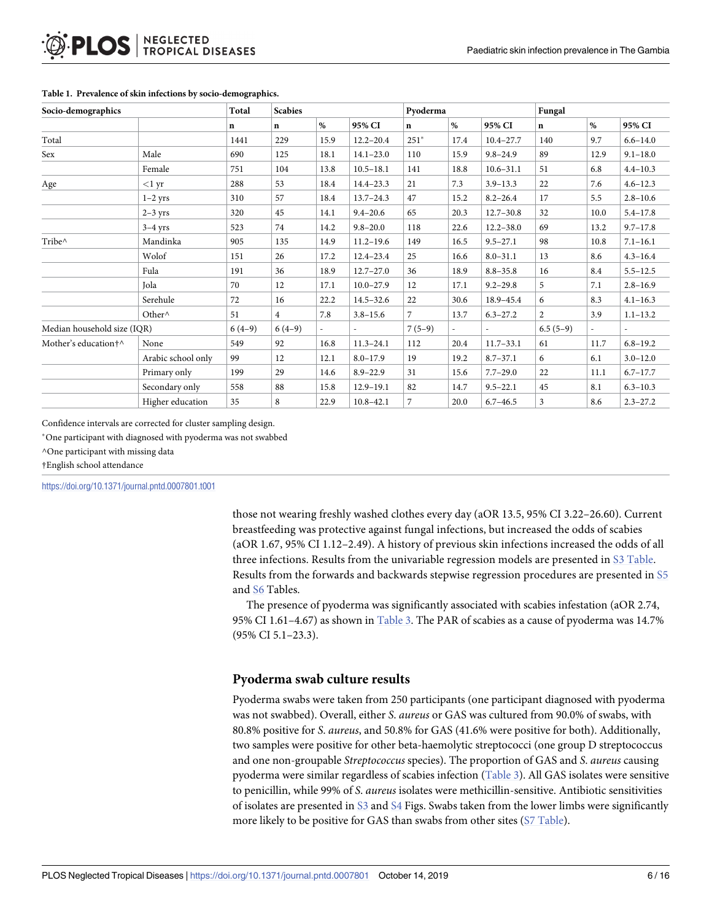| Socio-demographics          |                    | Total       | <b>Scabies</b> |                |               | Pyoderma     |      |               | Fungal         |                          |              |
|-----------------------------|--------------------|-------------|----------------|----------------|---------------|--------------|------|---------------|----------------|--------------------------|--------------|
|                             |                    | $\mathbf n$ | $\mathbf{n}$   | $\%$           | 95% CI        | $\mathbf{n}$ | %    | 95% CI        | $\mathbf n$    | %                        | 95% CI       |
| Total                       |                    | 1441        | 229            | 15.9           | $12.2 - 20.4$ | $251*$       | 17.4 | $10.4 - 27.7$ | 140            | 9.7                      | $6.6 - 14.0$ |
| Sex                         | Male               | 690         | 125            | 18.1           | $14.1 - 23.0$ | 110          | 15.9 | $9.8 - 24.9$  | 89             | 12.9                     | $9.1 - 18.0$ |
|                             | Female             | 751         | 104            | 13.8           | $10.5 - 18.1$ | 141          | 18.8 | $10.6 - 31.1$ | 51             | 6.8                      | $4.4 - 10.3$ |
| Age                         | $<$ l yr           | 288         | 53             | 18.4           | $14.4 - 23.3$ | 21           | 7.3  | $3.9 - 13.3$  | 22             | 7.6                      | $4.6 - 12.3$ |
|                             | $1-2$ yrs          | 310         | 57             | 18.4           | $13.7 - 24.3$ | 47           | 15.2 | $8.2 - 26.4$  | 17             | 5.5                      | $2.8 - 10.6$ |
|                             | $2-3$ yrs          | 320         | 45             | 14.1           | $9.4 - 20.6$  | 65           | 20.3 | $12.7 - 30.8$ | 32             | 10.0                     | $5.4 - 17.8$ |
|                             | $3-4$ yrs          | 523         | 74             | 14.2           | $9.8 - 20.0$  | 118          | 22.6 | $12.2 - 38.0$ | 69             | 13.2                     | $9.7 - 17.8$ |
| Tribe^                      | Mandinka           | 905         | 135            | 14.9           | $11.2 - 19.6$ | 149          | 16.5 | $9.5 - 27.1$  | 98             | 10.8                     | $7.1 - 16.1$ |
|                             | Wolof              | 151         | 26             | 17.2           | $12.4 - 23.4$ | 25           | 16.6 | $8.0 - 31.1$  | 13             | 8.6                      | $4.3 - 16.4$ |
|                             | Fula               | 191         | 36             | 18.9           | $12.7 - 27.0$ | 36           | 18.9 | $8.8 - 35.8$  | 16             | 8.4                      | $5.5 - 12.5$ |
|                             | Jola               | 70          | 12             | 17.1           | $10.0 - 27.9$ | 12           | 17.1 | $9.2 - 29.8$  | 5              | 7.1                      | $2.8 - 16.9$ |
|                             | Serehule           | 72          | 16             | 22.2           | $14.5 - 32.6$ | 22           | 30.6 | 18.9-45.4     | 6              | 8.3                      | $4.1 - 16.3$ |
|                             | Other^             | 51          | $\overline{4}$ | 7.8            | $3.8 - 15.6$  | 7            | 13.7 | $6.3 - 27.2$  | $\overline{2}$ | 3.9                      | $1.1 - 13.2$ |
| Median household size (IQR) |                    | $6(4-9)$    | $6(4-9)$       | $\overline{a}$ | $\sim$        | $7(5-9)$     |      |               | $6.5(5-9)$     | $\overline{\phantom{a}}$ |              |
| Mother's education†^        | None               | 549         | 92             | 16.8           | $11.3 - 24.1$ | 112          | 20.4 | $11.7 - 33.1$ | 61             | 11.7                     | $6.8 - 19.2$ |
|                             | Arabic school only | 99          | 12             | 12.1           | $8.0 - 17.9$  | 19           | 19.2 | $8.7 - 37.1$  | 6              | 6.1                      | $3.0 - 12.0$ |
|                             | Primary only       | 199         | 29             | 14.6           | $8.9 - 22.9$  | 31           | 15.6 | $7.7 - 29.0$  | 22             | 11.1                     | $6.7 - 17.7$ |
|                             | Secondary only     | 558         | 88             | 15.8           | $12.9 - 19.1$ | 82           | 14.7 | $9.5 - 22.1$  | 45             | 8.1                      | $6.3 - 10.3$ |
|                             | Higher education   | 35          | 8              | 22.9           | $10.8 - 42.1$ | 7            | 20.0 | $6.7 - 46.5$  | 3              | 8.6                      | $2.3 - 27.2$ |

#### <span id="page-5-0"></span>**[Table](#page-4-0) 1. Prevalence of skin infections by socio-demographics.**

Confidence intervals are corrected for cluster sampling design.

�One participant with diagnosed with pyoderma was not swabbed

^One participant with missing data

†English school attendance

<https://doi.org/10.1371/journal.pntd.0007801.t001>

those not wearing freshly washed clothes every day (aOR 13.5, 95% CI 3.22–26.60). Current breastfeeding was protective against fungal infections, but increased the odds of scabies (aOR 1.67, 95% CI 1.12–2.49). A history of previous skin infections increased the odds of all three infections. Results from the univariable regression models are presented in S3 [Table.](#page-11-0) Results from the forwards and backwards stepwise regression procedures are presented in [S5](#page-11-0) and [S6](#page-11-0) Tables.

The presence of pyoderma was significantly associated with scabies infestation (aOR 2.74, 95% CI 1.61–4.67) as shown in [Table](#page-7-0) 3. The PAR of scabies as a cause of pyoderma was 14.7% (95% CI 5.1–23.3).

#### **Pyoderma swab culture results**

Pyoderma swabs were taken from 250 participants (one participant diagnosed with pyoderma was not swabbed). Overall, either *S*. *aureus* or GAS was cultured from 90.0% of swabs, with 80.8% positive for *S*. *aureus*, and 50.8% for GAS (41.6% were positive for both). Additionally, two samples were positive for other beta-haemolytic streptococci (one group D streptococcus and one non-groupable *Streptococcus* species). The proportion of GAS and *S*. *aureus* causing pyoderma were similar regardless of scabies infection [\(Table](#page-7-0) 3). All GAS isolates were sensitive to penicillin, while 99% of *S*. *aureus* isolates were methicillin-sensitive. Antibiotic sensitivities of isolates are presented in [S3](#page-11-0) and [S4](#page-11-0) Figs. Swabs taken from the lower limbs were significantly more likely to be positive for GAS than swabs from other sites (S7 [Table\)](#page-11-0).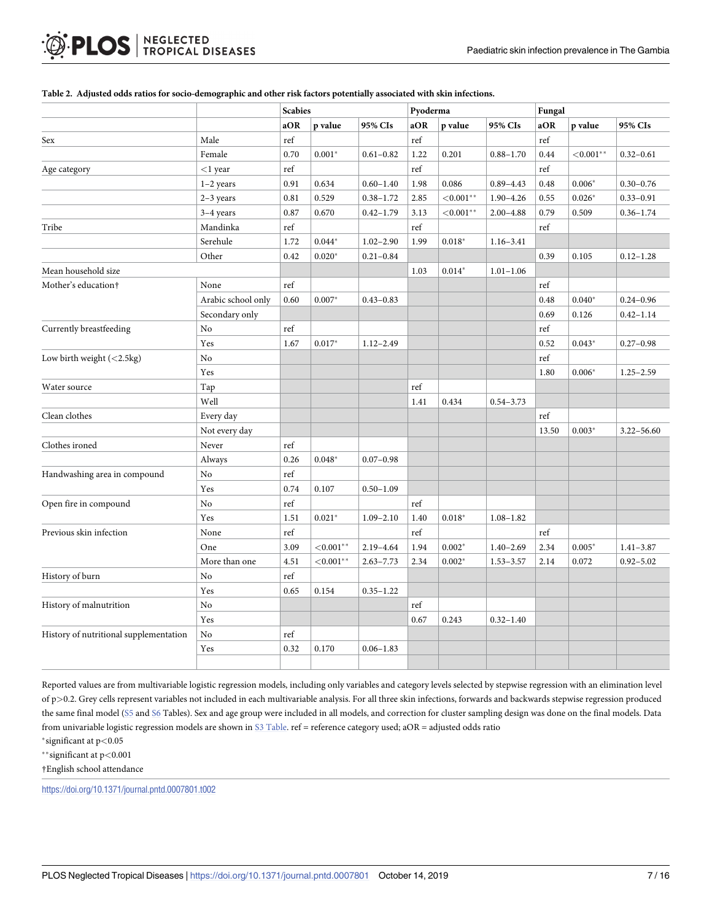|                                        |                    | <b>Scabies</b> |              | Pyoderma      |                      |              | Fungal        |       |               |                |
|----------------------------------------|--------------------|----------------|--------------|---------------|----------------------|--------------|---------------|-------|---------------|----------------|
|                                        |                    | aOR            | p value      | 95% CIs       | aOR                  | p value      | 95% CIs       | aOR   | p value       | 95% CIs        |
| Sex                                    | Male               | ref            |              |               | ref                  |              |               | ref   |               |                |
|                                        | Female             | 0.70           | $0.001*$     | $0.61 - 0.82$ | 1.22                 | 0.201        | $0.88 - 1.70$ | 0.44  | ${<}0.001$ ** | $0.32 - 0.61$  |
| Age category                           | $<$ 1 year         | ref            |              |               | $\operatorname{ref}$ |              |               | ref   |               |                |
|                                        | $1-2$ years        | 0.91           | 0.634        | $0.60 - 1.40$ | 1.98                 | 0.086        | $0.89 - 4.43$ | 0.48  | $0.006*$      | $0.30 - 0.76$  |
|                                        | $2-3$ years        | 0.81           | 0.529        | $0.38 - 1.72$ | 2.85                 | ${<}0.001**$ | $1.90 - 4.26$ | 0.55  | $0.026*$      | $0.33 - 0.91$  |
|                                        | $3-4$ years        | 0.87           | 0.670        | $0.42 - 1.79$ | 3.13                 | ${<}0.001**$ | $2.00 - 4.88$ | 0.79  | 0.509         | $0.36 - 1.74$  |
| Tribe                                  | Mandinka           | ref            |              |               | ref                  |              |               | ref   |               |                |
|                                        | Serehule           | 1.72           | $0.044*$     | $1.02 - 2.90$ | 1.99                 | $0.018*$     | $1.16 - 3.41$ |       |               |                |
|                                        | Other              | 0.42           | $0.020*$     | $0.21 - 0.84$ |                      |              |               | 0.39  | 0.105         | $0.12 - 1.28$  |
| Mean household size                    |                    |                |              |               | 1.03                 | $0.014*$     | $1.01 - 1.06$ |       |               |                |
| Mother's education†                    | None               | ref            |              |               |                      |              |               | ref   |               |                |
|                                        | Arabic school only | 0.60           | $0.007*$     | $0.43 - 0.83$ |                      |              |               | 0.48  | $0.040*$      | $0.24 - 0.96$  |
|                                        | Secondary only     |                |              |               |                      |              |               | 0.69  | 0.126         | $0.42 - 1.14$  |
| Currently breastfeeding                | No                 | ref            |              |               |                      |              |               | ref   |               |                |
|                                        | Yes                | 1.67           | $0.017*$     | $1.12 - 2.49$ |                      |              |               | 0.52  | $0.043*$      | $0.27 - 0.98$  |
| Low birth weight $(<2.5kg)$            | No                 |                |              |               |                      |              |               | ref   |               |                |
|                                        | Yes                |                |              |               |                      |              |               | 1.80  | $0.006*$      | $1.25 - 2.59$  |
| Water source                           | Tap                |                |              |               | ref                  |              |               |       |               |                |
|                                        | Well               |                |              |               | 1.41                 | 0.434        | $0.54 - 3.73$ |       |               |                |
| Clean clothes                          | Every day          |                |              |               |                      |              |               | ref   |               |                |
|                                        | Not every day      |                |              |               |                      |              |               | 13.50 | $0.003*$      | $3.22 - 56.60$ |
| Clothes ironed                         | Never              | ref            |              |               |                      |              |               |       |               |                |
|                                        | Always             | 0.26           | $0.048*$     | $0.07 - 0.98$ |                      |              |               |       |               |                |
| Handwashing area in compound           | No                 | ref            |              |               |                      |              |               |       |               |                |
|                                        | Yes                | 0.74           | 0.107        | $0.50 - 1.09$ |                      |              |               |       |               |                |
| Open fire in compound                  | No                 | ref            |              |               | ref                  |              |               |       |               |                |
|                                        | Yes                | 1.51           | $0.021*$     | $1.09 - 2.10$ | 1.40                 | $0.018*$     | $1.08 - 1.82$ |       |               |                |
| Previous skin infection                | None               | ref            |              |               | ref                  |              |               | ref   |               |                |
|                                        | One                | 3.09           | ${<}0.001**$ | 2.19-4.64     | 1.94                 | $0.002*$     | $1.40 - 2.69$ | 2.34  | $0.005*$      | $1.41 - 3.87$  |
|                                        | More than one      | 4.51           | ${<}0.001**$ | $2.63 - 7.73$ | 2.34                 | $0.002*$     | $1.53 - 3.57$ | 2.14  | 0.072         | $0.92 - 5.02$  |
| History of burn                        | No                 | ref            |              |               |                      |              |               |       |               |                |
|                                        | Yes                | 0.65           | 0.154        | $0.35 - 1.22$ |                      |              |               |       |               |                |
| History of malnutrition                | No                 |                |              |               | ref                  |              |               |       |               |                |
|                                        | Yes                |                |              |               | 0.67                 | 0.243        | $0.32 - 1.40$ |       |               |                |
| History of nutritional supplementation | No                 | ref            |              |               |                      |              |               |       |               |                |
|                                        | Yes                | 0.32           | 0.170        | $0.06 - 1.83$ |                      |              |               |       |               |                |
|                                        |                    |                |              |               |                      |              |               |       |               |                |

#### <span id="page-6-0"></span>[Table](#page-4-0) 2. Adjusted odds ratios for socio-demographic and other risk factors potentially associated with skin infections.

Reported values are from multivariable logistic regression models, including only variables and category levels selected by stepwise regression with an elimination level of p*>*0.2. Grey cells represent variables not included in each multivariable analysis. For all three skin infections, forwards and backwards stepwise regression produced the same final model [\(S5](#page-11-0) and [S6](#page-11-0) Tables). Sex and age group were included in all models, and correction for cluster sampling design was done on the final models. Data from univariable logistic regression models are shown in S3 [Table.](#page-11-0) ref = reference category used; aOR = adjusted odds ratio

�significant at p*<*0.05

��significant at p*<*0.001

†English school attendance

<https://doi.org/10.1371/journal.pntd.0007801.t002>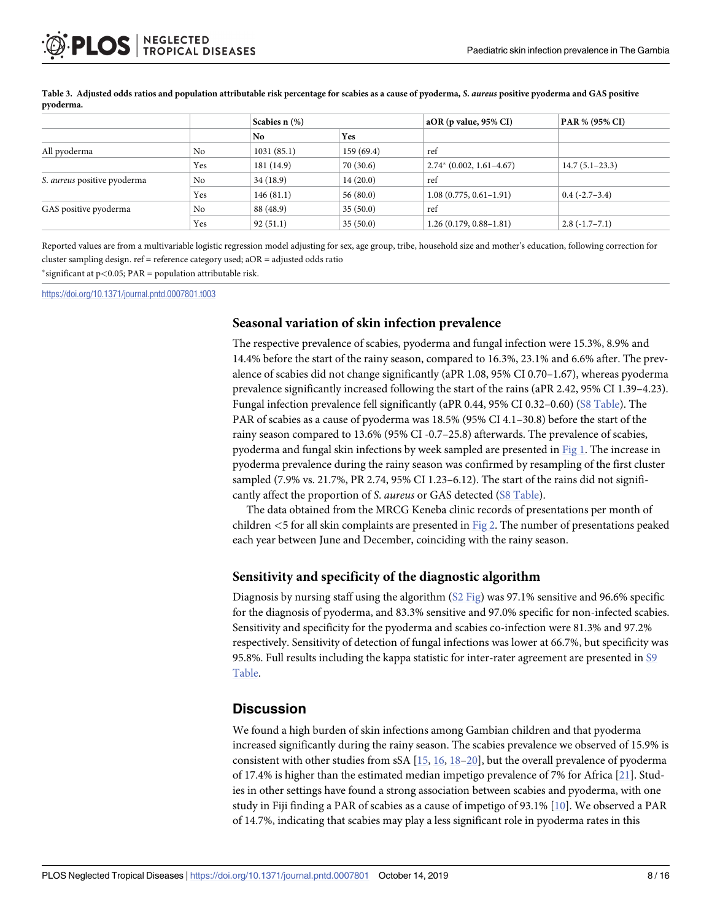|                                    |     | Scabies n (%) |           | $aOR$ (p value, 95% CI)     | PAR % (95% CI)   |  |  |
|------------------------------------|-----|---------------|-----------|-----------------------------|------------------|--|--|
|                                    |     | No.           | Yes       |                             |                  |  |  |
| All pyoderma                       | No  | 1031(85.1)    | 159(69.4) | ref                         |                  |  |  |
|                                    | Yes | 181 (14.9)    | 70(30.6)  | $2.74^*$ (0.002, 1.61-4.67) | $14.7(5.1-23.3)$ |  |  |
| S. <i>aureus</i> positive pyoderma | No  | 34(18.9)      | 14(20.0)  | ref                         |                  |  |  |
|                                    | Yes | 146(81.1)     | 56(80.0)  | $1.08(0.775, 0.61-1.91)$    | $0.4(-2.7-3.4)$  |  |  |
| GAS positive pyoderma              | No  | 88 (48.9)     | 35(50.0)  | ref                         |                  |  |  |
|                                    | Yes | 92(51.1)      | 35(50.0)  | $1.26(0.179, 0.88 - 1.81)$  | $2.8(-1.7-7.1)$  |  |  |

<span id="page-7-0"></span>[Table](#page-5-0) 3. Adjusted odds ratios and population attributable risk percentage for scabies as a cause of pyoderma, S. aureus positive pyoderma and GAS positive **pyoderma.**

Reported values are from a multivariable logistic regression model adjusting for sex, age group, tribe, household size and mother's education, following correction for cluster sampling design. ref = reference category used; aOR = adjusted odds ratio

�significant at p*<*0.05; PAR = population attributable risk.

<https://doi.org/10.1371/journal.pntd.0007801.t003>

#### **Seasonal variation of skin infection prevalence**

The respective prevalence of scabies, pyoderma and fungal infection were 15.3%, 8.9% and 14.4% before the start of the rainy season, compared to 16.3%, 23.1% and 6.6% after. The prevalence of scabies did not change significantly (aPR 1.08, 95% CI 0.70–1.67), whereas pyoderma prevalence significantly increased following the start of the rains (aPR 2.42, 95% CI 1.39–4.23). Fungal infection prevalence fell significantly (aPR 0.44, 95% CI 0.32–0.60) (S8 [Table\)](#page-11-0). The PAR of scabies as a cause of pyoderma was 18.5% (95% CI 4.1–30.8) before the start of the rainy season compared to 13.6% (95% CI -0.7–25.8) afterwards. The prevalence of scabies, pyoderma and fungal skin infections by week sampled are presented in [Fig](#page-8-0) 1. The increase in pyoderma prevalence during the rainy season was confirmed by resampling of the first cluster sampled (7.9% vs. 21.7%, PR 2.74, 95% CI 1.23–6.12). The start of the rains did not significantly affect the proportion of *S*. *aureus* or GAS detected (S8 [Table\)](#page-11-0).

The data obtained from the MRCG Keneba clinic records of presentations per month of children *<*5 for all skin complaints are presented in [Fig](#page-8-0) 2. The number of presentations peaked each year between June and December, coinciding with the rainy season.

#### **Sensitivity and specificity of the diagnostic algorithm**

Diagnosis by nursing staff using the algorithm (S2 [Fig](#page-11-0)) was 97.1% sensitive and 96.6% specific for the diagnosis of pyoderma, and 83.3% sensitive and 97.0% specific for non-infected scabies. Sensitivity and specificity for the pyoderma and scabies co-infection were 81.3% and 97.2% respectively. Sensitivity of detection of fungal infections was lower at 66.7%, but specificity was 95.8%. Full results including the kappa statistic for inter-rater agreement are presented in [S9](#page-11-0) [Table](#page-11-0).

#### **Discussion**

We found a high burden of skin infections among Gambian children and that pyoderma increased significantly during the rainy season. The scabies prevalence we observed of 15.9% is consistent with other studies from sSA [[15](#page-13-0), [16](#page-13-0), [18](#page-13-0)[–20\]](#page-14-0), but the overall prevalence of pyoderma of 17.4% is higher than the estimated median impetigo prevalence of 7% for Africa [[21](#page-14-0)]. Studies in other settings have found a strong association between scabies and pyoderma, with one study in Fiji finding a PAR of scabies as a cause of impetigo of 93.1% [[10](#page-13-0)]. We observed a PAR of 14.7%, indicating that scabies may play a less significant role in pyoderma rates in this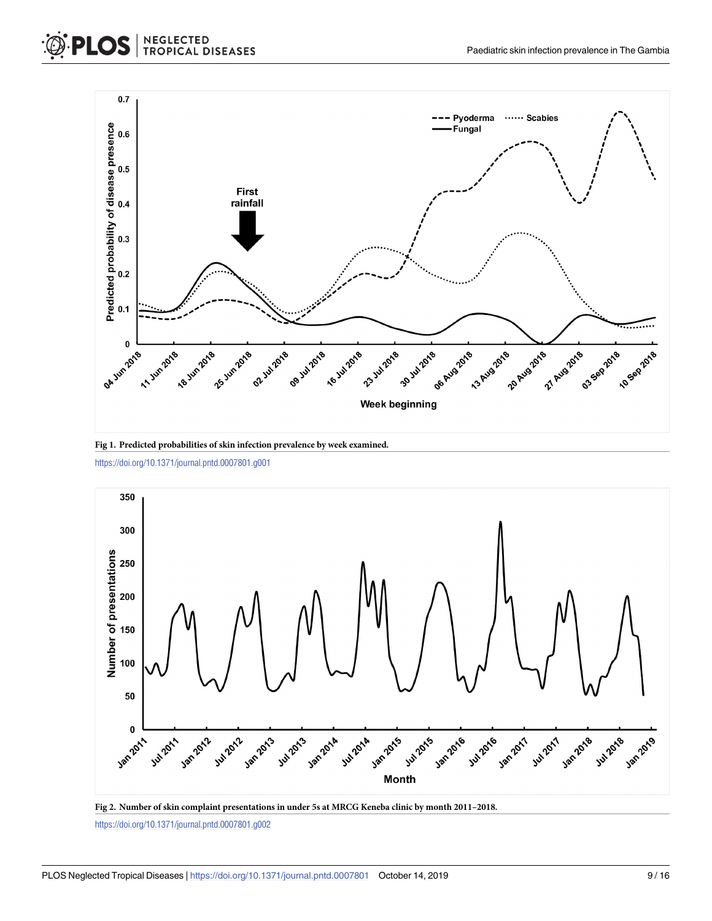<span id="page-8-0"></span>



**[Fig](#page-7-0) 1. Predicted probabilities of skin infection prevalence by week examined.**

<https://doi.org/10.1371/journal.pntd.0007801.g001>



**[Fig](#page-7-0) 2. Number of skin complaint presentations in under 5s at MRCG Keneba clinic by month 2011–2018.**

<https://doi.org/10.1371/journal.pntd.0007801.g002>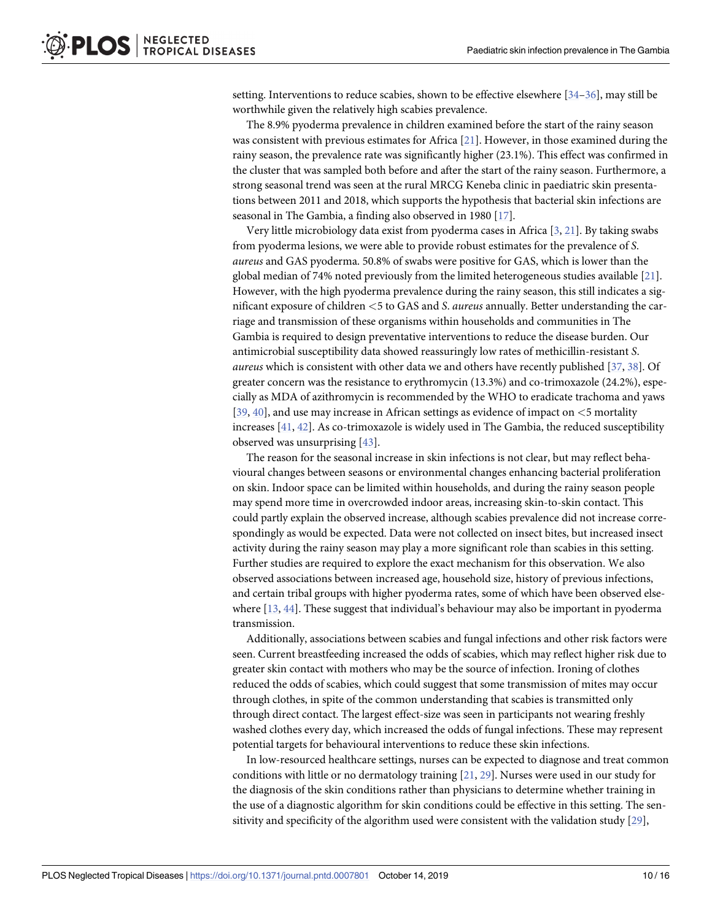<span id="page-9-0"></span>setting. Interventions to reduce scabies, shown to be effective elsewhere [[34–36\]](#page-14-0), may still be worthwhile given the relatively high scabies prevalence.

The 8.9% pyoderma prevalence in children examined before the start of the rainy season was consistent with previous estimates for Africa [\[21\]](#page-14-0). However, in those examined during the rainy season, the prevalence rate was significantly higher (23.1%). This effect was confirmed in the cluster that was sampled both before and after the start of the rainy season. Furthermore, a strong seasonal trend was seen at the rural MRCG Keneba clinic in paediatric skin presentations between 2011 and 2018, which supports the hypothesis that bacterial skin infections are seasonal in The Gambia, a finding also observed in 1980 [\[17\]](#page-13-0).

Very little microbiology data exist from pyoderma cases in Africa [\[3](#page-13-0), [21](#page-14-0)]. By taking swabs from pyoderma lesions, we were able to provide robust estimates for the prevalence of *S*. *aureus* and GAS pyoderma. 50.8% of swabs were positive for GAS, which is lower than the global median of 74% noted previously from the limited heterogeneous studies available [[21\]](#page-14-0). However, with the high pyoderma prevalence during the rainy season, this still indicates a significant exposure of children *<*5 to GAS and *S*. *aureus* annually. Better understanding the carriage and transmission of these organisms within households and communities in The Gambia is required to design preventative interventions to reduce the disease burden. Our antimicrobial susceptibility data showed reassuringly low rates of methicillin-resistant *S*. *aureus* which is consistent with other data we and others have recently published [[37](#page-14-0), [38](#page-15-0)]. Of greater concern was the resistance to erythromycin (13.3%) and co-trimoxazole (24.2%), especially as MDA of azithromycin is recommended by the WHO to eradicate trachoma and yaws [\[39,](#page-15-0) [40\]](#page-15-0), and use may increase in African settings as evidence of impact on *<*5 mortality increases [[41](#page-15-0), [42](#page-15-0)]. As co-trimoxazole is widely used in The Gambia, the reduced susceptibility observed was unsurprising [[43](#page-15-0)].

The reason for the seasonal increase in skin infections is not clear, but may reflect behavioural changes between seasons or environmental changes enhancing bacterial proliferation on skin. Indoor space can be limited within households, and during the rainy season people may spend more time in overcrowded indoor areas, increasing skin-to-skin contact. This could partly explain the observed increase, although scabies prevalence did not increase correspondingly as would be expected. Data were not collected on insect bites, but increased insect activity during the rainy season may play a more significant role than scabies in this setting. Further studies are required to explore the exact mechanism for this observation. We also observed associations between increased age, household size, history of previous infections, and certain tribal groups with higher pyoderma rates, some of which have been observed elsewhere [[13](#page-13-0), [44](#page-15-0)]. These suggest that individual's behaviour may also be important in pyoderma transmission.

Additionally, associations between scabies and fungal infections and other risk factors were seen. Current breastfeeding increased the odds of scabies, which may reflect higher risk due to greater skin contact with mothers who may be the source of infection. Ironing of clothes reduced the odds of scabies, which could suggest that some transmission of mites may occur through clothes, in spite of the common understanding that scabies is transmitted only through direct contact. The largest effect-size was seen in participants not wearing freshly washed clothes every day, which increased the odds of fungal infections. These may represent potential targets for behavioural interventions to reduce these skin infections.

In low-resourced healthcare settings, nurses can be expected to diagnose and treat common conditions with little or no dermatology training [[21](#page-14-0), [29](#page-14-0)]. Nurses were used in our study for the diagnosis of the skin conditions rather than physicians to determine whether training in the use of a diagnostic algorithm for skin conditions could be effective in this setting. The sensitivity and specificity of the algorithm used were consistent with the validation study [\[29\]](#page-14-0),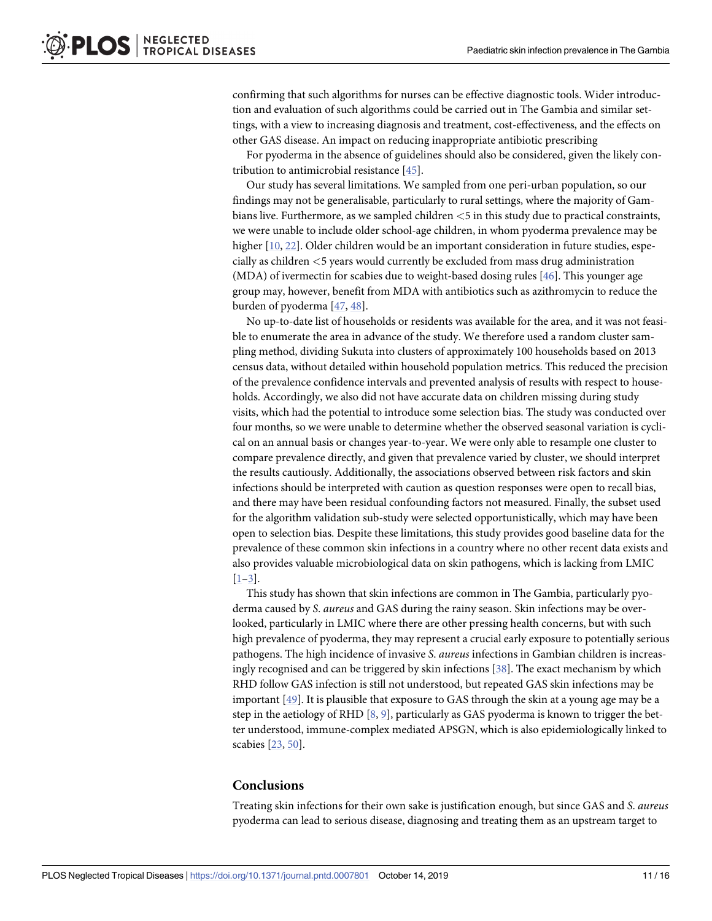<span id="page-10-0"></span>confirming that such algorithms for nurses can be effective diagnostic tools. Wider introduction and evaluation of such algorithms could be carried out in The Gambia and similar settings, with a view to increasing diagnosis and treatment, cost-effectiveness, and the effects on other GAS disease. An impact on reducing inappropriate antibiotic prescribing

For pyoderma in the absence of guidelines should also be considered, given the likely contribution to antimicrobial resistance [\[45\]](#page-15-0).

Our study has several limitations. We sampled from one peri-urban population, so our findings may not be generalisable, particularly to rural settings, where the majority of Gambians live. Furthermore, as we sampled children *<*5 in this study due to practical constraints, we were unable to include older school-age children, in whom pyoderma prevalence may be higher [\[10,](#page-13-0) [22\]](#page-14-0). Older children would be an important consideration in future studies, especially as children *<*5 years would currently be excluded from mass drug administration (MDA) of ivermectin for scabies due to weight-based dosing rules [\[46\]](#page-15-0). This younger age group may, however, benefit from MDA with antibiotics such as azithromycin to reduce the burden of pyoderma [[47](#page-15-0), [48](#page-15-0)].

No up-to-date list of households or residents was available for the area, and it was not feasible to enumerate the area in advance of the study. We therefore used a random cluster sampling method, dividing Sukuta into clusters of approximately 100 households based on 2013 census data, without detailed within household population metrics. This reduced the precision of the prevalence confidence intervals and prevented analysis of results with respect to households. Accordingly, we also did not have accurate data on children missing during study visits, which had the potential to introduce some selection bias. The study was conducted over four months, so we were unable to determine whether the observed seasonal variation is cyclical on an annual basis or changes year-to-year. We were only able to resample one cluster to compare prevalence directly, and given that prevalence varied by cluster, we should interpret the results cautiously. Additionally, the associations observed between risk factors and skin infections should be interpreted with caution as question responses were open to recall bias, and there may have been residual confounding factors not measured. Finally, the subset used for the algorithm validation sub-study were selected opportunistically, which may have been open to selection bias. Despite these limitations, this study provides good baseline data for the prevalence of these common skin infections in a country where no other recent data exists and also provides valuable microbiological data on skin pathogens, which is lacking from LMIC [\[1](#page-12-0)[–3](#page-13-0)].

This study has shown that skin infections are common in The Gambia, particularly pyoderma caused by *S*. *aureus* and GAS during the rainy season. Skin infections may be overlooked, particularly in LMIC where there are other pressing health concerns, but with such high prevalence of pyoderma, they may represent a crucial early exposure to potentially serious pathogens. The high incidence of invasive *S*. *aureus* infections in Gambian children is increasingly recognised and can be triggered by skin infections [[38\]](#page-15-0). The exact mechanism by which RHD follow GAS infection is still not understood, but repeated GAS skin infections may be important [\[49\]](#page-15-0). It is plausible that exposure to GAS through the skin at a young age may be a step in the aetiology of RHD  $[8, 9]$  $[8, 9]$  $[8, 9]$  $[8, 9]$  $[8, 9]$ , particularly as GAS pyoderma is known to trigger the better understood, immune-complex mediated APSGN, which is also epidemiologically linked to scabies [\[23,](#page-14-0) [50\]](#page-15-0).

#### **Conclusions**

Treating skin infections for their own sake is justification enough, but since GAS and *S*. *aureus* pyoderma can lead to serious disease, diagnosing and treating them as an upstream target to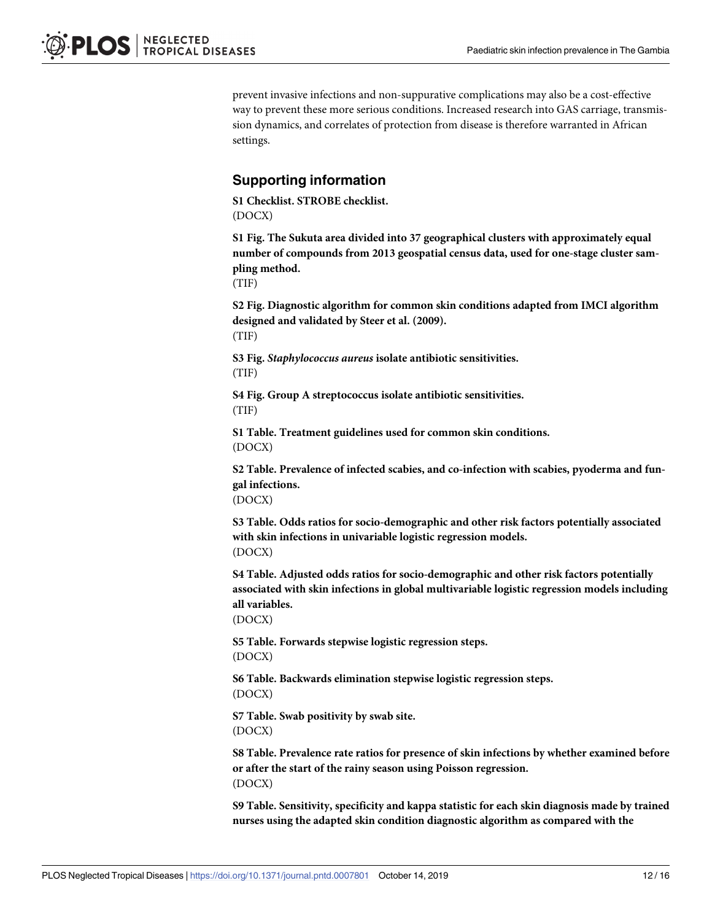<span id="page-11-0"></span>prevent invasive infections and non-suppurative complications may also be a cost-effective way to prevent these more serious conditions. Increased research into GAS carriage, transmission dynamics, and correlates of protection from disease is therefore warranted in African settings.

### **Supporting information**

**S1 [Checklist.](http://journals.plos.org/plosntds/article/asset?unique&id=info:doi/10.1371/journal.pntd.0007801.s001) STROBE checklist.** (DOCX)

**S1 [Fig](http://journals.plos.org/plosntds/article/asset?unique&id=info:doi/10.1371/journal.pntd.0007801.s002). The Sukuta area divided into 37 geographical clusters with approximately equal number of compounds from 2013 geospatial census data, used for one-stage cluster sampling method.**

(TIF)

**S2 [Fig](http://journals.plos.org/plosntds/article/asset?unique&id=info:doi/10.1371/journal.pntd.0007801.s003). Diagnostic algorithm for common skin conditions adapted from IMCI algorithm designed and validated by Steer et al. (2009).** (TIF)

**S3 [Fig](http://journals.plos.org/plosntds/article/asset?unique&id=info:doi/10.1371/journal.pntd.0007801.s004).** *Staphylococcus aureus* **isolate antibiotic sensitivities.** (TIF)

**S4 [Fig](http://journals.plos.org/plosntds/article/asset?unique&id=info:doi/10.1371/journal.pntd.0007801.s005). Group A streptococcus isolate antibiotic sensitivities.** (TIF)

**S1 [Table.](http://journals.plos.org/plosntds/article/asset?unique&id=info:doi/10.1371/journal.pntd.0007801.s006) Treatment guidelines used for common skin conditions.** (DOCX)

**S2 [Table.](http://journals.plos.org/plosntds/article/asset?unique&id=info:doi/10.1371/journal.pntd.0007801.s007) Prevalence of infected scabies, and co-infection with scabies, pyoderma and fungal infections.**

(DOCX)

**S3 [Table.](http://journals.plos.org/plosntds/article/asset?unique&id=info:doi/10.1371/journal.pntd.0007801.s008) Odds ratios for socio-demographic and other risk factors potentially associated with skin infections in univariable logistic regression models.** (DOCX)

**S4 [Table.](http://journals.plos.org/plosntds/article/asset?unique&id=info:doi/10.1371/journal.pntd.0007801.s009) Adjusted odds ratios for socio-demographic and other risk factors potentially associated with skin infections in global multivariable logistic regression models including all variables.**

(DOCX)

**S5 [Table.](http://journals.plos.org/plosntds/article/asset?unique&id=info:doi/10.1371/journal.pntd.0007801.s010) Forwards stepwise logistic regression steps.** (DOCX)

**S6 [Table.](http://journals.plos.org/plosntds/article/asset?unique&id=info:doi/10.1371/journal.pntd.0007801.s011) Backwards elimination stepwise logistic regression steps.** (DOCX)

**S7 [Table.](http://journals.plos.org/plosntds/article/asset?unique&id=info:doi/10.1371/journal.pntd.0007801.s012) Swab positivity by swab site.** (DOCX)

**S8 [Table.](http://journals.plos.org/plosntds/article/asset?unique&id=info:doi/10.1371/journal.pntd.0007801.s013) Prevalence rate ratios for presence of skin infections by whether examined before or after the start of the rainy season using Poisson regression.** (DOCX)

**S9 [Table.](http://journals.plos.org/plosntds/article/asset?unique&id=info:doi/10.1371/journal.pntd.0007801.s014) Sensitivity, specificity and kappa statistic for each skin diagnosis made by trained nurses using the adapted skin condition diagnostic algorithm as compared with the**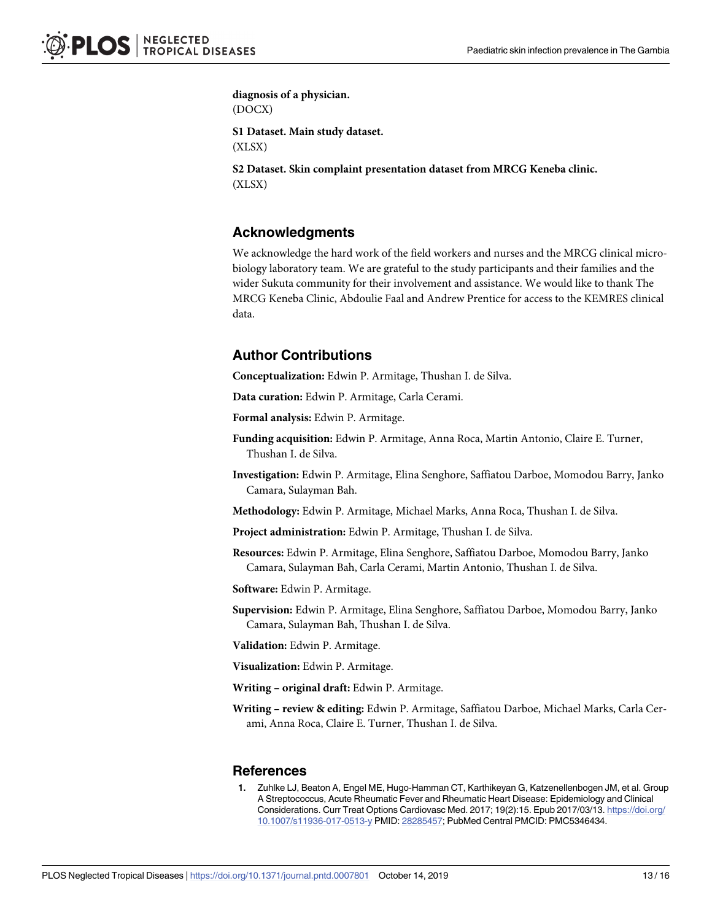<span id="page-12-0"></span>**diagnosis of a physician.** (DOCX)

**S1 [Dataset.](http://journals.plos.org/plosntds/article/asset?unique&id=info:doi/10.1371/journal.pntd.0007801.s015) Main study dataset.**

(XLSX)

**S2 [Dataset.](http://journals.plos.org/plosntds/article/asset?unique&id=info:doi/10.1371/journal.pntd.0007801.s016) Skin complaint presentation dataset from MRCG Keneba clinic.** (XLSX)

# **Acknowledgments**

We acknowledge the hard work of the field workers and nurses and the MRCG clinical microbiology laboratory team. We are grateful to the study participants and their families and the wider Sukuta community for their involvement and assistance. We would like to thank The MRCG Keneba Clinic, Abdoulie Faal and Andrew Prentice for access to the KEMRES clinical data.

# **Author Contributions**

**Conceptualization:** Edwin P. Armitage, Thushan I. de Silva.

**Data curation:** Edwin P. Armitage, Carla Cerami.

**Formal analysis:** Edwin P. Armitage.

- **Funding acquisition:** Edwin P. Armitage, Anna Roca, Martin Antonio, Claire E. Turner, Thushan I. de Silva.
- **Investigation:** Edwin P. Armitage, Elina Senghore, Saffiatou Darboe, Momodou Barry, Janko Camara, Sulayman Bah.

**Methodology:** Edwin P. Armitage, Michael Marks, Anna Roca, Thushan I. de Silva.

**Project administration:** Edwin P. Armitage, Thushan I. de Silva.

**Resources:** Edwin P. Armitage, Elina Senghore, Saffiatou Darboe, Momodou Barry, Janko Camara, Sulayman Bah, Carla Cerami, Martin Antonio, Thushan I. de Silva.

**Software:** Edwin P. Armitage.

**Supervision:** Edwin P. Armitage, Elina Senghore, Saffiatou Darboe, Momodou Barry, Janko Camara, Sulayman Bah, Thushan I. de Silva.

**Validation:** Edwin P. Armitage.

**Visualization:** Edwin P. Armitage.

**Writing – original draft:** Edwin P. Armitage.

**Writing – review & editing:** Edwin P. Armitage, Saffiatou Darboe, Michael Marks, Carla Cerami, Anna Roca, Claire E. Turner, Thushan I. de Silva.

#### **References**

**[1](#page-1-0).** Zuhlke LJ, Beaton A, Engel ME, Hugo-Hamman CT, Karthikeyan G, Katzenellenbogen JM, et al. Group A Streptococcus, Acute Rheumatic Fever and Rheumatic Heart Disease: Epidemiology and Clinical Considerations. Curr Treat Options Cardiovasc Med. 2017; 19(2):15. Epub 2017/03/13. [https://doi.org/](https://doi.org/10.1007/s11936-017-0513-y) [10.1007/s11936-017-0513-y](https://doi.org/10.1007/s11936-017-0513-y) PMID: [28285457;](http://www.ncbi.nlm.nih.gov/pubmed/28285457) PubMed Central PMCID: PMC5346434.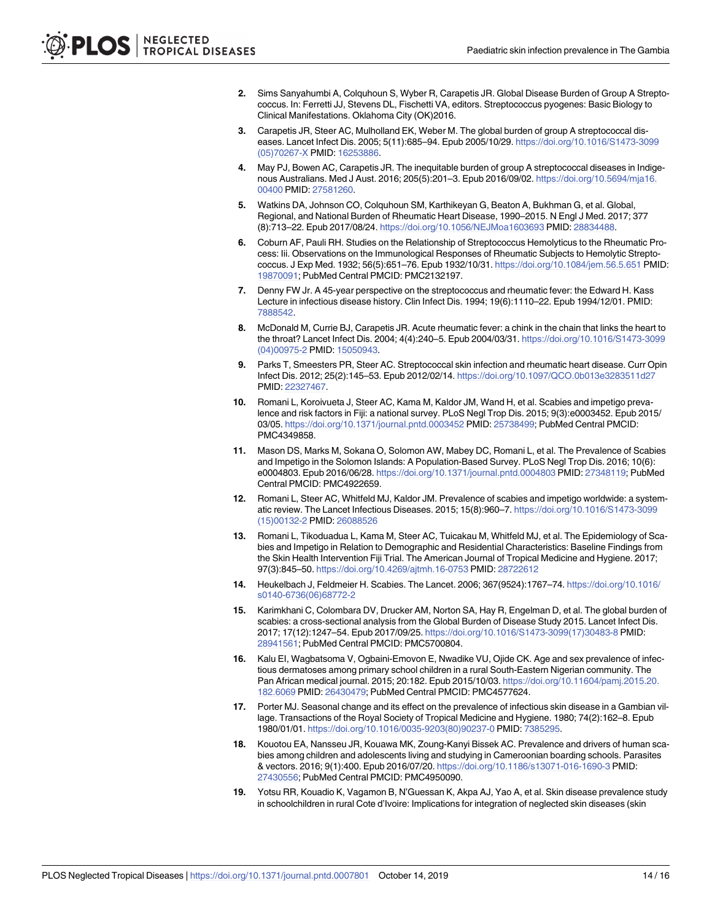- <span id="page-13-0"></span>**[2](#page-1-0).** Sims Sanyahumbi A, Colquhoun S, Wyber R, Carapetis JR. Global Disease Burden of Group A Streptococcus. In: Ferretti JJ, Stevens DL, Fischetti VA, editors. Streptococcus pyogenes: Basic Biology to Clinical Manifestations. Oklahoma City (OK)2016.
- **[3](#page-1-0).** Carapetis JR, Steer AC, Mulholland EK, Weber M. The global burden of group A streptococcal diseases. Lancet Infect Dis. 2005; 5(11):685–94. Epub 2005/10/29. [https://doi.org/10.1016/S1473-3099](https://doi.org/10.1016/S1473-3099(05)70267-X) [\(05\)70267-X](https://doi.org/10.1016/S1473-3099(05)70267-X) PMID: [16253886.](http://www.ncbi.nlm.nih.gov/pubmed/16253886)
- **[4](#page-1-0).** May PJ, Bowen AC, Carapetis JR. The inequitable burden of group A streptococcal diseases in Indigenous Australians. Med J Aust. 2016; 205(5):201–3. Epub 2016/09/02. [https://doi.org/10.5694/mja16.](https://doi.org/10.5694/mja16.00400) [00400](https://doi.org/10.5694/mja16.00400) PMID: [27581260.](http://www.ncbi.nlm.nih.gov/pubmed/27581260)
- **[5](#page-1-0).** Watkins DA, Johnson CO, Colquhoun SM, Karthikeyan G, Beaton A, Bukhman G, et al. Global, Regional, and National Burden of Rheumatic Heart Disease, 1990–2015. N Engl J Med. 2017; 377 (8):713–22. Epub 2017/08/24. <https://doi.org/10.1056/NEJMoa1603693> PMID: [28834488](http://www.ncbi.nlm.nih.gov/pubmed/28834488).
- **[6](#page-1-0).** Coburn AF, Pauli RH. Studies on the Relationship of Streptococcus Hemolyticus to the Rheumatic Process: Iii. Observations on the Immunological Responses of Rheumatic Subjects to Hemolytic Streptococcus. J Exp Med. 1932; 56(5):651–76. Epub 1932/10/31. <https://doi.org/10.1084/jem.56.5.651> PMID: [19870091](http://www.ncbi.nlm.nih.gov/pubmed/19870091); PubMed Central PMCID: PMC2132197.
- **[7](#page-1-0).** Denny FW Jr. A 45-year perspective on the streptococcus and rheumatic fever: the Edward H. Kass Lecture in infectious disease history. Clin Infect Dis. 1994; 19(6):1110–22. Epub 1994/12/01. PMID: [7888542](http://www.ncbi.nlm.nih.gov/pubmed/7888542).
- **[8](#page-1-0).** McDonald M, Currie BJ, Carapetis JR. Acute rheumatic fever: a chink in the chain that links the heart to the throat? Lancet Infect Dis. 2004; 4(4):240–5. Epub 2004/03/31. [https://doi.org/10.1016/S1473-3099](https://doi.org/10.1016/S1473-3099(04)00975-2) [\(04\)00975-2](https://doi.org/10.1016/S1473-3099(04)00975-2) PMID: [15050943.](http://www.ncbi.nlm.nih.gov/pubmed/15050943)
- **[9](#page-1-0).** Parks T, Smeesters PR, Steer AC. Streptococcal skin infection and rheumatic heart disease. Curr Opin Infect Dis. 2012; 25(2):145–53. Epub 2012/02/14. <https://doi.org/10.1097/QCO.0b013e3283511d27> PMID: [22327467](http://www.ncbi.nlm.nih.gov/pubmed/22327467).
- **[10](#page-1-0).** Romani L, Koroivueta J, Steer AC, Kama M, Kaldor JM, Wand H, et al. Scabies and impetigo prevalence and risk factors in Fiji: a national survey. PLoS Negl Trop Dis. 2015; 9(3):e0003452. Epub 2015/ 03/05. <https://doi.org/10.1371/journal.pntd.0003452> PMID: [25738499;](http://www.ncbi.nlm.nih.gov/pubmed/25738499) PubMed Central PMCID: PMC4349858.
- **[11](#page-1-0).** Mason DS, Marks M, Sokana O, Solomon AW, Mabey DC, Romani L, et al. The Prevalence of Scabies and Impetigo in the Solomon Islands: A Population-Based Survey. PLoS Negl Trop Dis. 2016; 10(6): e0004803. Epub 2016/06/28. <https://doi.org/10.1371/journal.pntd.0004803> PMID: [27348119](http://www.ncbi.nlm.nih.gov/pubmed/27348119); PubMed Central PMCID: PMC4922659.
- **[12](#page-1-0).** Romani L, Steer AC, Whitfeld MJ, Kaldor JM. Prevalence of scabies and impetigo worldwide: a systematic review. The Lancet Infectious Diseases. 2015; 15(8):960–7. [https://doi.org/10.1016/S1473-3099](https://doi.org/10.1016/S1473-3099(15)00132-2) [\(15\)00132-2](https://doi.org/10.1016/S1473-3099(15)00132-2) PMID: [26088526](http://www.ncbi.nlm.nih.gov/pubmed/26088526)
- **[13](#page-9-0).** Romani L, Tikoduadua L, Kama M, Steer AC, Tuicakau M, Whitfeld MJ, et al. The Epidemiology of Scabies and Impetigo in Relation to Demographic and Residential Characteristics: Baseline Findings from the Skin Health Intervention Fiji Trial. The American Journal of Tropical Medicine and Hygiene. 2017; 97(3):845–50. <https://doi.org/10.4269/ajtmh.16-0753> PMID: [28722612](http://www.ncbi.nlm.nih.gov/pubmed/28722612)
- **[14](#page-1-0).** Heukelbach J, Feldmeier H. Scabies. The Lancet. 2006; 367(9524):1767–74. [https://doi.org/10.1016/](https://doi.org/10.1016/s0140-6736(06)68772-2) [s0140-6736\(06\)68772-2](https://doi.org/10.1016/s0140-6736(06)68772-2)
- **[15](#page-1-0).** Karimkhani C, Colombara DV, Drucker AM, Norton SA, Hay R, Engelman D, et al. The global burden of scabies: a cross-sectional analysis from the Global Burden of Disease Study 2015. Lancet Infect Dis. 2017; 17(12):1247–54. Epub 2017/09/25. [https://doi.org/10.1016/S1473-3099\(17\)30483-8](https://doi.org/10.1016/S1473-3099(17)30483-8) PMID: [28941561](http://www.ncbi.nlm.nih.gov/pubmed/28941561); PubMed Central PMCID: PMC5700804.
- **[16](#page-7-0).** Kalu EI, Wagbatsoma V, Ogbaini-Emovon E, Nwadike VU, Ojide CK. Age and sex prevalence of infectious dermatoses among primary school children in a rural South-Eastern Nigerian community. The Pan African medical journal. 2015; 20:182. Epub 2015/10/03. [https://doi.org/10.11604/pamj.2015.20.](https://doi.org/10.11604/pamj.2015.20.182.6069) [182.6069](https://doi.org/10.11604/pamj.2015.20.182.6069) PMID: [26430479;](http://www.ncbi.nlm.nih.gov/pubmed/26430479) PubMed Central PMCID: PMC4577624.
- **[17](#page-9-0).** Porter MJ. Seasonal change and its effect on the prevalence of infectious skin disease in a Gambian village. Transactions of the Royal Society of Tropical Medicine and Hygiene. 1980; 74(2):162–8. Epub 1980/01/01. [https://doi.org/10.1016/0035-9203\(80\)90237-0](https://doi.org/10.1016/0035-9203(80)90237-0) PMID: [7385295.](http://www.ncbi.nlm.nih.gov/pubmed/7385295)
- **[18](#page-7-0).** Kouotou EA, Nansseu JR, Kouawa MK, Zoung-Kanyi Bissek AC. Prevalence and drivers of human scabies among children and adolescents living and studying in Cameroonian boarding schools. Parasites & vectors. 2016; 9(1):400. Epub 2016/07/20. <https://doi.org/10.1186/s13071-016-1690-3> PMID: [27430556](http://www.ncbi.nlm.nih.gov/pubmed/27430556); PubMed Central PMCID: PMC4950090.
- **19.** Yotsu RR, Kouadio K, Vagamon B, N'Guessan K, Akpa AJ, Yao A, et al. Skin disease prevalence study in schoolchildren in rural Cote d'Ivoire: Implications for integration of neglected skin diseases (skin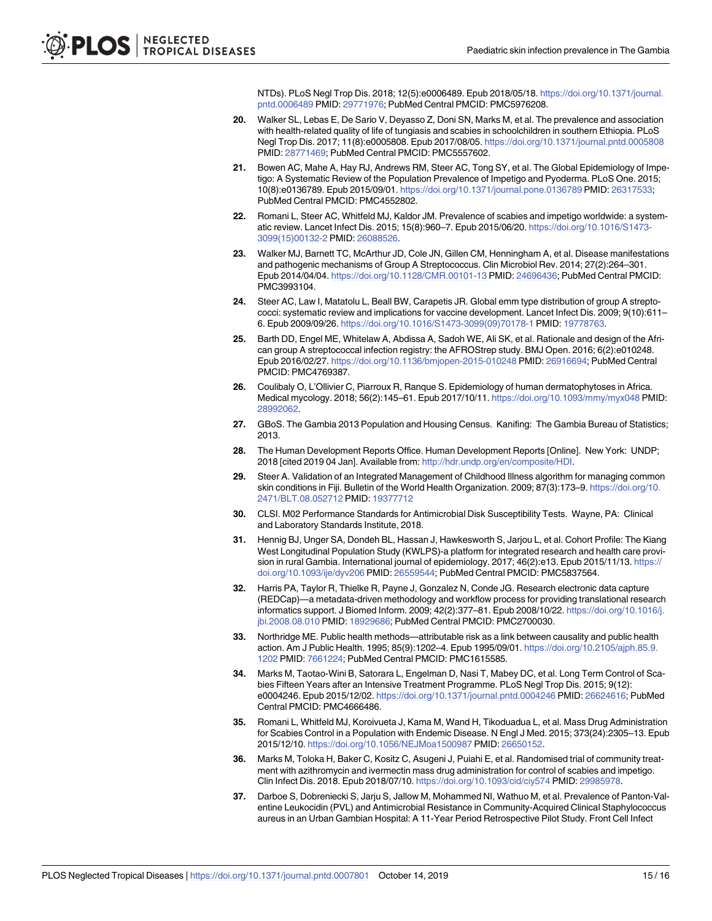NTDs). PLoS Negl Trop Dis. 2018; 12(5):e0006489. Epub 2018/05/18. [https://doi.org/10.1371/journal.](https://doi.org/10.1371/journal.pntd.0006489) [pntd.0006489](https://doi.org/10.1371/journal.pntd.0006489) PMID: [29771976](http://www.ncbi.nlm.nih.gov/pubmed/29771976); PubMed Central PMCID: PMC5976208.

- <span id="page-14-0"></span>**[20](#page-1-0).** Walker SL, Lebas E, De Sario V, Deyasso Z, Doni SN, Marks M, et al. The prevalence and association with health-related quality of life of tungiasis and scabies in schoolchildren in southern Ethiopia. PLoS Negl Trop Dis. 2017; 11(8):e0005808. Epub 2017/08/05. <https://doi.org/10.1371/journal.pntd.0005808> PMID: [28771469](http://www.ncbi.nlm.nih.gov/pubmed/28771469); PubMed Central PMCID: PMC5557602.
- **[21](#page-1-0).** Bowen AC, Mahe A, Hay RJ, Andrews RM, Steer AC, Tong SY, et al. The Global Epidemiology of Impetigo: A Systematic Review of the Population Prevalence of Impetigo and Pyoderma. PLoS One. 2015; 10(8):e0136789. Epub 2015/09/01. <https://doi.org/10.1371/journal.pone.0136789> PMID: [26317533](http://www.ncbi.nlm.nih.gov/pubmed/26317533); PubMed Central PMCID: PMC4552802.
- **[22](#page-1-0).** Romani L, Steer AC, Whitfeld MJ, Kaldor JM. Prevalence of scabies and impetigo worldwide: a systematic review. Lancet Infect Dis. 2015; 15(8):960–7. Epub 2015/06/20. [https://doi.org/10.1016/S1473-](https://doi.org/10.1016/S1473-3099(15)00132-2) [3099\(15\)00132-2](https://doi.org/10.1016/S1473-3099(15)00132-2) PMID: [26088526](http://www.ncbi.nlm.nih.gov/pubmed/26088526).
- **[23](#page-10-0).** Walker MJ, Barnett TC, McArthur JD, Cole JN, Gillen CM, Henningham A, et al. Disease manifestations and pathogenic mechanisms of Group A Streptococcus. Clin Microbiol Rev. 2014; 27(2):264–301. Epub 2014/04/04. <https://doi.org/10.1128/CMR.00101-13> PMID: [24696436](http://www.ncbi.nlm.nih.gov/pubmed/24696436); PubMed Central PMCID: PMC3993104.
- **[24](#page-1-0).** Steer AC, Law I, Matatolu L, Beall BW, Carapetis JR. Global emm type distribution of group A streptococci: systematic review and implications for vaccine development. Lancet Infect Dis. 2009; 9(10):611– 6. Epub 2009/09/26. [https://doi.org/10.1016/S1473-3099\(09\)70178-1](https://doi.org/10.1016/S1473-3099(09)70178-1) PMID: [19778763.](http://www.ncbi.nlm.nih.gov/pubmed/19778763)
- **[25](#page-1-0).** Barth DD, Engel ME, Whitelaw A, Abdissa A, Sadoh WE, Ali SK, et al. Rationale and design of the African group A streptococcal infection registry: the AFROStrep study. BMJ Open. 2016; 6(2):e010248. Epub 2016/02/27. <https://doi.org/10.1136/bmjopen-2015-010248> PMID: [26916694;](http://www.ncbi.nlm.nih.gov/pubmed/26916694) PubMed Central PMCID: PMC4769387.
- **[26](#page-1-0).** Coulibaly O, L'Ollivier C, Piarroux R, Ranque S. Epidemiology of human dermatophytoses in Africa. Medical mycology. 2018; 56(2):145–61. Epub 2017/10/11. <https://doi.org/10.1093/mmy/myx048> PMID: [28992062](http://www.ncbi.nlm.nih.gov/pubmed/28992062).
- **[27](#page-2-0).** GBoS. The Gambia 2013 Population and Housing Census. Kanifing: The Gambia Bureau of Statistics; 2013.
- **[28](#page-2-0).** The Human Development Reports Office. Human Development Reports [Online]. New York: UNDP; 2018 [cited 2019 04 Jan]. Available from: <http://hdr.undp.org/en/composite/HDI>.
- **[29](#page-2-0).** Steer A. Validation of an Integrated Management of Childhood Illness algorithm for managing common skin conditions in Fiji. Bulletin of the World Health Organization. 2009; 87(3):173–9. [https://doi.org/10.](https://doi.org/10.2471/BLT.08.052712) [2471/BLT.08.052712](https://doi.org/10.2471/BLT.08.052712) PMID: [19377712](http://www.ncbi.nlm.nih.gov/pubmed/19377712)
- **[30](#page-3-0).** CLSI. M02 Performance Standards for Antimicrobial Disk Susceptibility Tests. Wayne, PA: Clinical and Laboratory Standards Institute, 2018.
- **[31](#page-3-0).** Hennig BJ, Unger SA, Dondeh BL, Hassan J, Hawkesworth S, Jarjou L, et al. Cohort Profile: The Kiang West Longitudinal Population Study (KWLPS)-a platform for integrated research and health care provision in rural Gambia. International journal of epidemiology. 2017; 46(2):e13. Epub 2015/11/13. [https://](https://doi.org/10.1093/ije/dyv206) [doi.org/10.1093/ije/dyv206](https://doi.org/10.1093/ije/dyv206) PMID: [26559544](http://www.ncbi.nlm.nih.gov/pubmed/26559544); PubMed Central PMCID: PMC5837564.
- **[32](#page-4-0).** Harris PA, Taylor R, Thielke R, Payne J, Gonzalez N, Conde JG. Research electronic data capture (REDCap)—a metadata-driven methodology and workflow process for providing translational research informatics support. J Biomed Inform. 2009; 42(2):377–81. Epub 2008/10/22. [https://doi.org/10.1016/j.](https://doi.org/10.1016/j.jbi.2008.08.010) [jbi.2008.08.010](https://doi.org/10.1016/j.jbi.2008.08.010) PMID: [18929686;](http://www.ncbi.nlm.nih.gov/pubmed/18929686) PubMed Central PMCID: PMC2700030.
- **[33](#page-4-0).** Northridge ME. Public health methods—attributable risk as a link between causality and public health action. Am J Public Health. 1995; 85(9):1202–4. Epub 1995/09/01. [https://doi.org/10.2105/ajph.85.9.](https://doi.org/10.2105/ajph.85.9.1202) [1202](https://doi.org/10.2105/ajph.85.9.1202) PMID: [7661224;](http://www.ncbi.nlm.nih.gov/pubmed/7661224) PubMed Central PMCID: PMC1615585.
- **[34](#page-9-0).** Marks M, Taotao-Wini B, Satorara L, Engelman D, Nasi T, Mabey DC, et al. Long Term Control of Scabies Fifteen Years after an Intensive Treatment Programme. PLoS Negl Trop Dis. 2015; 9(12): e0004246. Epub 2015/12/02. <https://doi.org/10.1371/journal.pntd.0004246> PMID: [26624616](http://www.ncbi.nlm.nih.gov/pubmed/26624616); PubMed Central PMCID: PMC4666486.
- **35.** Romani L, Whitfeld MJ, Koroivueta J, Kama M, Wand H, Tikoduadua L, et al. Mass Drug Administration for Scabies Control in a Population with Endemic Disease. N Engl J Med. 2015; 373(24):2305–13. Epub 2015/12/10. <https://doi.org/10.1056/NEJMoa1500987> PMID: [26650152](http://www.ncbi.nlm.nih.gov/pubmed/26650152).
- **[36](#page-9-0).** Marks M, Toloka H, Baker C, Kositz C, Asugeni J, Puiahi E, et al. Randomised trial of community treatment with azithromycin and ivermectin mass drug administration for control of scabies and impetigo. Clin Infect Dis. 2018. Epub 2018/07/10. <https://doi.org/10.1093/cid/ciy574> PMID: [29985978.](http://www.ncbi.nlm.nih.gov/pubmed/29985978)
- **[37](#page-9-0).** Darboe S, Dobreniecki S, Jarju S, Jallow M, Mohammed NI, Wathuo M, et al. Prevalence of Panton-Valentine Leukocidin (PVL) and Antimicrobial Resistance in Community-Acquired Clinical Staphylococcus aureus in an Urban Gambian Hospital: A 11-Year Period Retrospective Pilot Study. Front Cell Infect